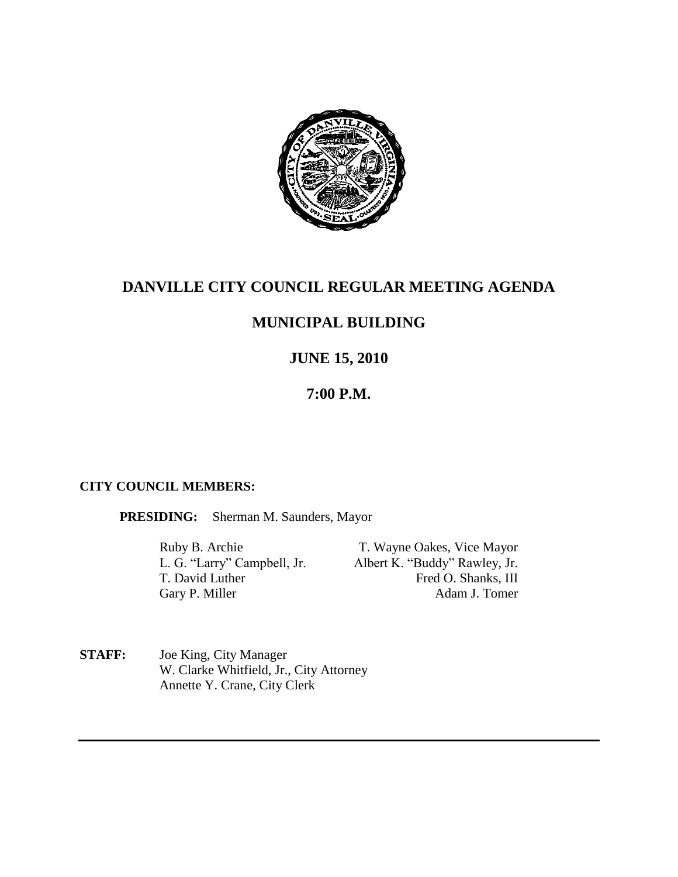

# **DANVILLE CITY COUNCIL REGULAR MEETING AGENDA**

# **MUNICIPAL BUILDING**

# **JUNE 15, 2010**

## **7:00 P.M.**

### **CITY COUNCIL MEMBERS:**

**PRESIDING:** Sherman M. Saunders, Mayor

Ruby B. Archie T. Wayne Oakes, Vice Mayor<br>
L. G. "Larry" Campbell, Jr. Albert K. "Buddy" Rawley, Jr. Albert K. "Buddy" Rawley, Jr. T. David Luther Fred O. Shanks, III Gary P. Miller Adam J. Tomer

**STAFF:** Joe King, City Manager W. Clarke Whitfield, Jr., City Attorney Annette Y. Crane, City Clerk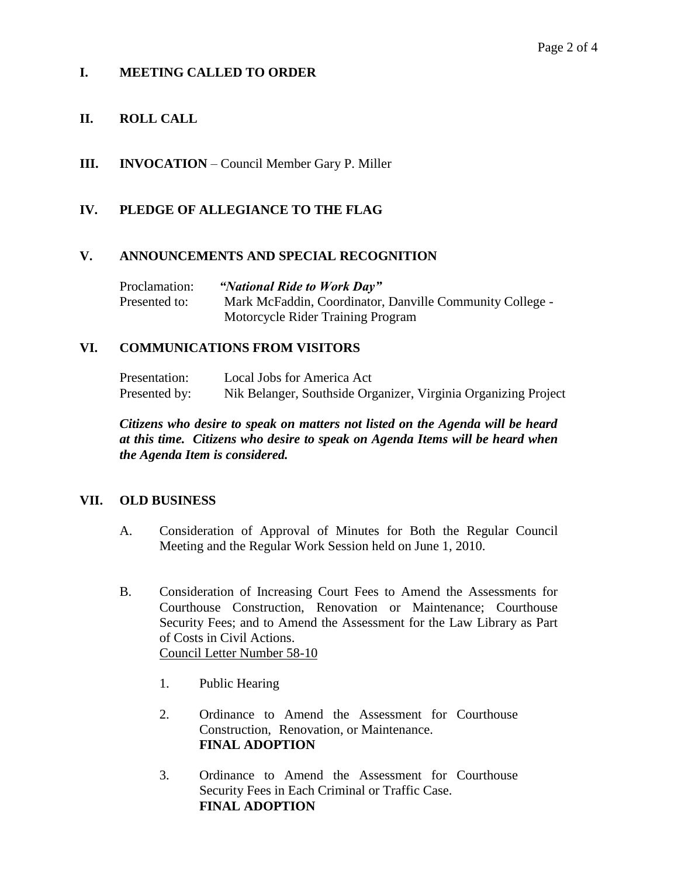## **I. MEETING CALLED TO ORDER**

## **II. ROLL CALL**

**III. INVOCATION** – Council Member Gary P. Miller

### **IV. PLEDGE OF ALLEGIANCE TO THE FLAG**

#### **V. ANNOUNCEMENTS AND SPECIAL RECOGNITION**

Proclamation: *"National Ride to Work Day"* Presented to: Mark McFaddin, Coordinator, Danville Community College - Motorcycle Rider Training Program

#### **VI. COMMUNICATIONS FROM VISITORS**

Presentation: Local Jobs for America Act Presented by: Nik Belanger, Southside Organizer, Virginia Organizing Project

*Citizens who desire to speak on matters not listed on the Agenda will be heard at this time. Citizens who desire to speak on Agenda Items will be heard when the Agenda Item is considered.*

#### **VII. OLD BUSINESS**

- A. Consideration of Approval of Minutes for Both the Regular Council Meeting and the Regular Work Session held on June 1, 2010.
- B. Consideration of Increasing Court Fees to Amend the Assessments for Courthouse Construction, Renovation or Maintenance; Courthouse Security Fees; and to Amend the Assessment for the Law Library as Part of Costs in Civil Actions. Council Letter Number 58-10
	- 1. Public Hearing
	- 2. Ordinance to Amend the Assessment for Courthouse Construction, Renovation, or Maintenance. **FINAL ADOPTION**
	- 3. Ordinance to Amend the Assessment for Courthouse Security Fees in Each Criminal or Traffic Case. **FINAL ADOPTION**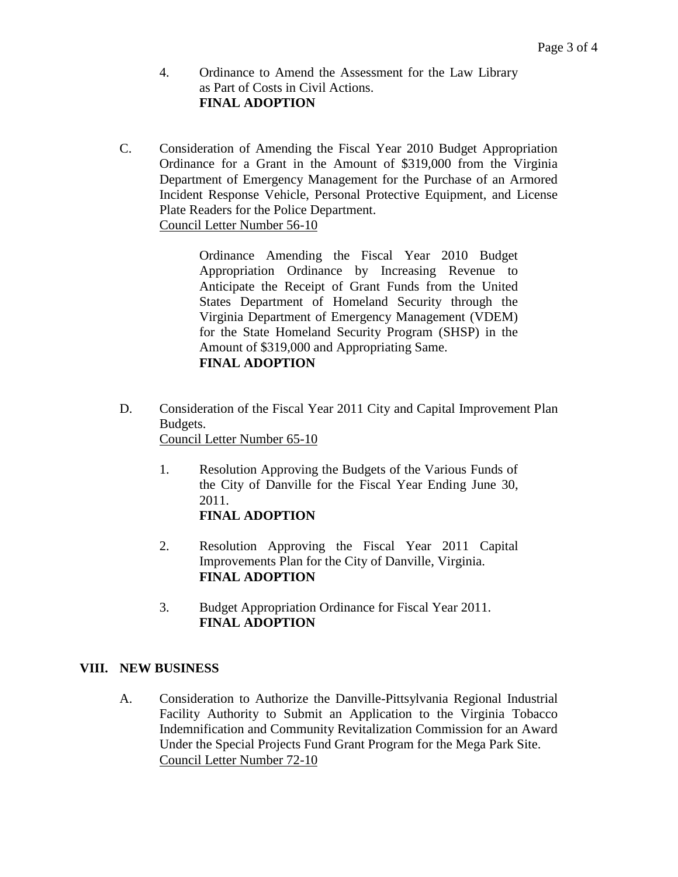- 4. Ordinance to Amend the Assessment for the Law Library as Part of Costs in Civil Actions. **FINAL ADOPTION**
- C. Consideration of Amending the Fiscal Year 2010 Budget Appropriation Ordinance for a Grant in the Amount of \$319,000 from the Virginia Department of Emergency Management for the Purchase of an Armored Incident Response Vehicle, Personal Protective Equipment, and License Plate Readers for the Police Department. Council Letter Number 56-10

Ordinance Amending the Fiscal Year 2010 Budget Appropriation Ordinance by Increasing Revenue to Anticipate the Receipt of Grant Funds from the United States Department of Homeland Security through the Virginia Department of Emergency Management (VDEM) for the State Homeland Security Program (SHSP) in the Amount of \$319,000 and Appropriating Same. **FINAL ADOPTION**

- D. Consideration of the Fiscal Year 2011 City and Capital Improvement Plan Budgets. Council Letter Number 65-10
	- 1. Resolution Approving the Budgets of the Various Funds of the City of Danville for the Fiscal Year Ending June 30, 2011. **FINAL ADOPTION**
	- 2. Resolution Approving the Fiscal Year 2011 Capital Improvements Plan for the City of Danville, Virginia. **FINAL ADOPTION**
	- 3. Budget Appropriation Ordinance for Fiscal Year 2011. **FINAL ADOPTION**

### **VIII. NEW BUSINESS**

A. Consideration to Authorize the Danville-Pittsylvania Regional Industrial Facility Authority to Submit an Application to the Virginia Tobacco Indemnification and Community Revitalization Commission for an Award Under the Special Projects Fund Grant Program for the Mega Park Site. Council Letter Number 72-10